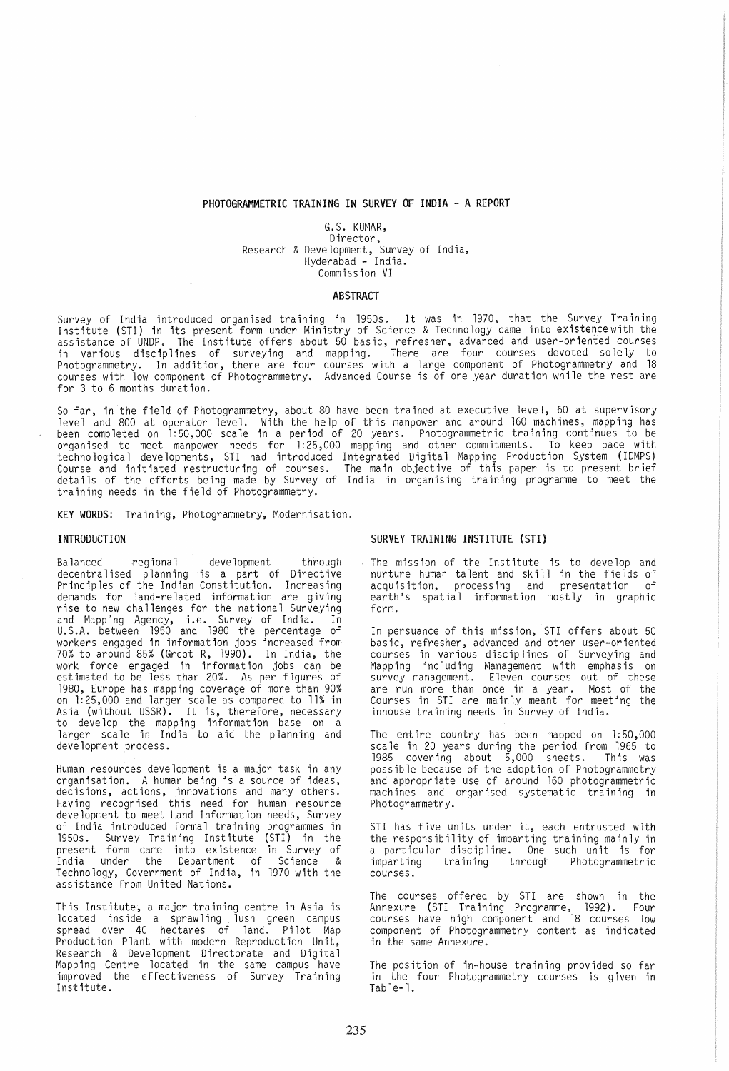#### PHOTOGRAMMETRIC TRAINING IN SURVEY OF INDIA - A REPORT

G.S. KUMAR, Director, Research & Development, Survey of India, Hyderabad - India. Commission VI

#### **ABSTRACT**

Survey of India introduced organised training in 1950s. It was in 1970, that the Survey Training<br>Institute (STI) in its present form under Ministry of Science & Technology came into existencewith the assistance of UNDP. The Institute offers about 50 basic, refresher, advanced and user-oriented courses in various disciplines of surveying and mapping. There are four courses devoted solely to Photogrammetry. In addition, there are four courses with a large component of Photogrammetry and 18 courses with low component of Photogrammetry. Advanced Course is of one year duration while the rest are for 3 to 6 months duration.

So far, in the field of Photogrammetry, about 80 have been trained at executive level, 60 at supervisory level and 800 at operator level. With the help of this manpower and around 160 machines, mapping has been completed on 1:50,000 scale in a period of 20 years. Photogrammetric training continues to be organised to meet manpower needs for 1:25,000 mapping and other commitments. To keep pace with technological developments, STI had introduced Integrated Digital Mapping Production System (IDMPS) Course and initiated restructuring of courses. The main objective of this paper is to present brief details of the efforts being made by Survey of India in organising training programme to meet the training needs in the field of Photogrammetry.

KEY WORDS: Training, Photogrammetry, Modernisation.

Balanced regional development through decentra1ised planning is a part of Directive Principles of the Indian Constitution. Increasing demands for land-related information are giving<br>rise to new challenges for the national Surveying and Mapping Agency, i.e. Survey of India. In U. S. A. between 1950 and 1980 the percentage of workers engaged in information jobs increased from 70% to around 85% (Groot R, 1990). In India, the work force engaged in information jobs can be estimated to be less than 20%. As per figures of 1980, Europe has mapping coverage of more than 90% on 1:25,000 and larger scale as compared to 11% in Asia (without USSR). It is, therefore, necessary to develop the mapping information base on a larger scale in India to aid the planning and development process.

Human resources development is a major task in any organisation. A human being is a source of ideas, decisions, actions, innovations and many others. Having recognised this need for human resource development to meet Land Information needs, Survey of India introduced formal training programmes in 1950s. Survey Training Institute (STI) in the present form came into existence in Survey of India under the Department of Science & Technology, Government of India, in 1970 with the assistance from United Nations.

This Institute, a major training centre in Asia is located inside a sprawling lush green campus spread over 40 hectares of land. Pilot Map Production Plant with modern Reproduction Unit, Research & Development Directorate and Digital Mapping Centre located in the same campus have improved the effectiveness of Survey Training<br>Institute.

#### INTRODUCTION SURVEY TRAINING INSTITUTE (STI)

The mission of the Institute is to develop and nurture human ta lent and sk i 11 in the fie 1ds of acquisition, processing and presentation of earth's spatial information mostly in graphic form.

In persuance of this mission, STI offers about 50 basic, refresher, advanced and other user-oriented courses in various disciplines of Surveying and Mapping including Management with emphasis on survey management. Eleven courses out of these are run more than once in a year. Most of the Courses in STI are mainly meant for meeting the inhouse training needs in Survey of India.

The entire country has been mapped on 1:50,000 scale in 20 years during the period from 1965 to 1985 covering about  $\overline{5}$ ,000 sheets. possible because of the adoption of Photogrammetry and appropriate use of around 160 photogrammetric machines and organised systematic training in Photogrammetry.

STI has five units under it, each entrusted with the responsibility of imparting training mainly in a particular discipline. One such unit is for imparting training through Photogrammetric imparting<br>courses.

The courses offered by STI are shown in the Annexure (STI Training Programme, 1992). Four courses have high component and 18 courses low component of Photogrammetry content as indicated in the same Annexure.

The position of in-house training provided so far in the four Photogrammetry courses is given in Table-l.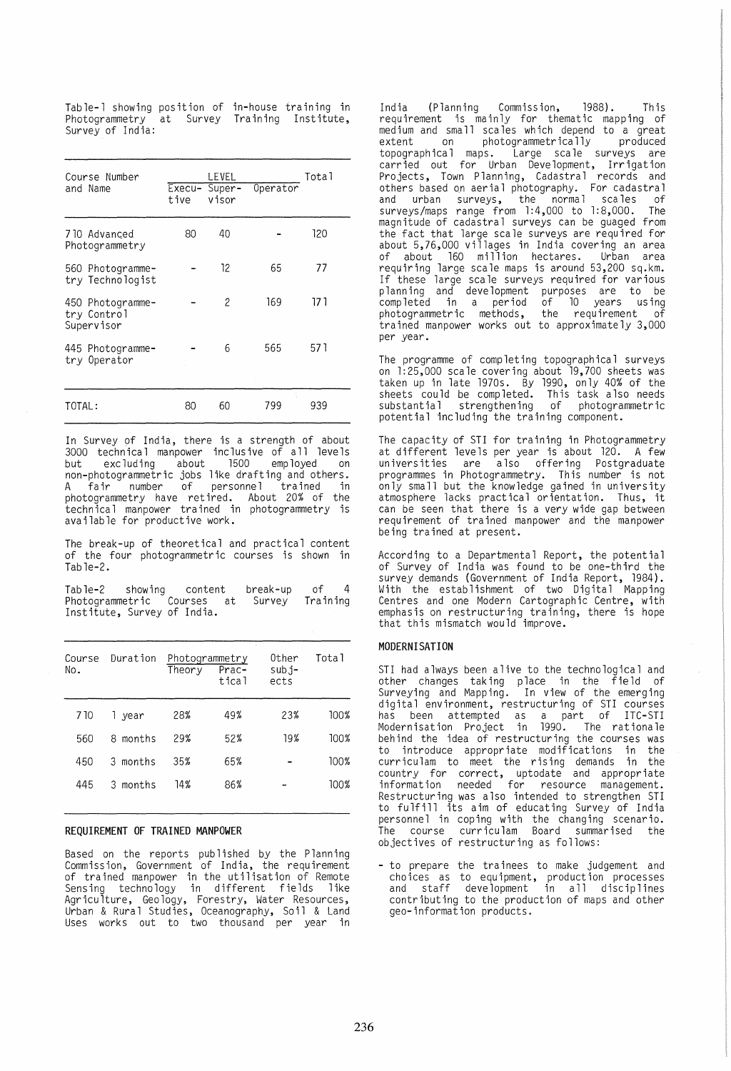Table-1 showing position of in-house training in<br>Photogrammetry at Survey Training Institute, Survey Training Institute, Survey of India:

| Course Number<br>and Name                     | Execu-<br>tive | LEVEL<br>Super-<br>visor | Operator | Total |
|-----------------------------------------------|----------------|--------------------------|----------|-------|
| 710 Advanced<br>Photogrammetry                | 80             | 40                       |          | 120   |
| 560 Photogramme-<br>try Technologist          |                | 12                       | 65       | 77    |
| 450 Photogramme-<br>try Control<br>Supervisor |                | $\overline{c}$           | 169      | 17 1  |
| 445 Photogramme-<br>try Operator              |                | 6                        | 565      | 57 1  |
| TOTAL:                                        | 80             | 60                       | 799      | 939   |

In Survey of India, there is a strength of about 3000 technical manpower inclusive of all levels but excluding about 1500 employed on non-photogrammetric jobs like drafting and others. A fair number of personnel trained in photogrammetry have ret ired. About 20% of the technical manpower trained in photogrammetry is available for productive work.

The break-up of theoretical and practical content of the four photogrammetric courses is shown in Tab1e-2.

Table-2 showing content Photogrammetric Courses at Institute, Survey of India. break-up Survey of 4 Training

| Course<br>No. | Duration  | Photogrammetry<br>Theory | Prac-<br>tical | Other<br>$sub.i$ -<br>ects | Total |
|---------------|-----------|--------------------------|----------------|----------------------------|-------|
| 7 10          | vear<br>1 | 28%                      | 49%            | 23%                        | 100%  |
| 560           | 8 months  | 29%                      | 52%            | 19%                        | 100%  |
| 450           | 3 months  | 35%                      | 65%            |                            | 100%  |
| 445           | 3 months  | 14%                      | 86%            |                            | 100%  |

### REQUIREMENT OF TRAINED MANPOWER

Based on the reports published by the Planning Commission, Government of India, the requirement of trained manpower in the utilisation of Remote Sensing technology in different fields like Agriculture, *Geology,* Forestry, Water Resources, Urban & Rural Studies, Oceanography, Soil & Land Uses works out to two thousand per *year* in

India (Planning Commission, 1988). This requirement is mainly for thematic mapping of medium and small scales which depend to a great extent on photogrammetrically produced topographical maps. Large scale surveys are carried out for Urban Development, Irrigation Projects, Town Planning, Cadastral records and others based on aerial photography. For cadastral and urban surveys, the normal scales of surveys/maps range from 1:4,000 to 1:8,000. The magnitude of cadastral surveys can be guaged from the fact that large scale surveys are required for about 5,76,000 villages in India covering an area of about 160 million hectares. Urban area requiring large scale maps is around 53,200 sq.km. If these large scale surveys required for various planning and development purposes are to be completed in a period of 10 years using photogrammetric methods, the requirement of trained manpower works out to approximately 3,000 per year.

The programme of completing topographical surveys on 1:25,000 scale covering about 19,700 sheets was taken up in late 1970s. *By* 1990, *only* 40% of the sheets could be completed. This task also needs substantial strengthening of photogrammetric potential including the training component.

The capacity of STI for training in Photogrammetry at different levels per *year* is about 120. A few universities are also offering Postgraduate programmes in Photogrammetry. This number is not *only* small but the knowledge gained in university atmosphere lacks pract ica 1 or ientat ion. Thus, it can be seen that there is a *very* wide gap between requirement of tra ined manpower and the manpower being trained at present.

According to a Departmental Report, the potential of Survey of India was found to be one-third the survey demands (Government of India Report, 1984). With the establishment of two Digital Mapping Centres and one Modern Cartographic Centre, with centres and one Modern Cartographic Centre, with<br>emphasis on restructuring training, there is hope<br>that this mismatch would improve.

### MODERNISATION

STI had always been alive to the technological and other changes taking place in the field of Surveying and Mapping. In view of the emerging digital environment, restructuring of STI courses has been attempted as a part of ITC-STI Modernisation Project in 1990. The rationale behind the idea of restructuring the courses was to introduce appropriate modifications in the curriculam to meet the rising demands in the country for correct, uptodate and appropriate information needed for resource management. Restructuring was also intended to strengthen STI to fulfill its aim of educating Survey of India personnel in coping with the changing scenario. The course curriculam Board summarised the objectives of restructuring as follows:

- to prepare the tra inees to make judgement and choices as to equipment, production processes and staff development in all disciplines contributing to the production of maps and other geo-information products.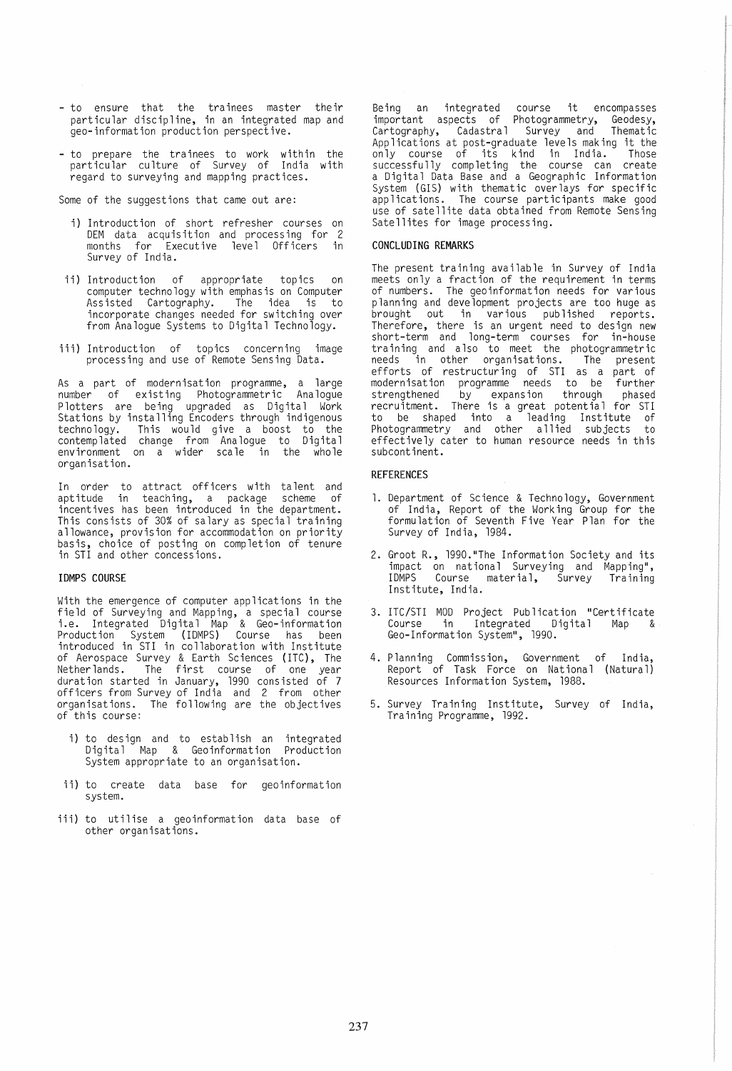- to ensure that the tra inees master their particular discipline, in an integrated map and geo-information production perspective.
- to prepare the trainees to work within the particular culture of Survey of India with regard to surveying and mapping practices.

Some of the suggestions that came out are:

- i) Introduction of short refresher courses on DEM data acquisition and processing for 2 months for Execut ive leve 1 Officers in Survey of India.
- ii) Introduction of appropriate topics on computer technology with emphasis on Computer Assisted Cartography. The idea is to incorporate changes needed for switching over from Analoque Systems to Digital Technology.
- iii) Introduction of topics concerning image processing and use of Remote Sensing Data.

As a part of modernisation programme, a large number of existing Photogrammetric Analogue Plotters are being upgraded as Digital Work Stations by installing Encoders through indigenous technology. This would give a boost to the contemplated change from Analogue to Digital environment on a wider sca le in the who le organisation.

In order to attract officers with talent and aptitude in teaching, a package scheme of incentives has been introduced in the department. This consists of 30% of salary as special training allowance, provision for accommodation on priority basis, choice of posting on completion of tenure in STI and other concessions.

### IDMPS COURSE

With the emergence of computer applications in the field of Surveying and Mapping, a special course i.e. Integrated Digital Map & Geo-information Production System (IDMPS) Course has been introduced in STI in co llaborat ion with Inst itute of Aerospace Survey & Earth Sciences <mark>(ITC), The</mark><br>Netherlands. The first course of one year duration started in January, 1990 consisted of 7 officers from Survey of India and 2 from other organisations. The following are the objectives<br>of this course:

- i) to design and to establish an integrated Digita 1 Map & Geoinformation Production System appropriate to an organisation.
- ii) to create data base for geoinformation system.
- iii) to utilise a geoinformation data base of other organisations.

Being an integrated course it encompasses important aspects of Photogrammetry, Geodesy, Cartography, Cadastral Survey and Thematic Applications at post-graduate levels making it the only course of its kind in India. Those successfully completing the course can create a Digital Data Base and a Geographic Information System (GIS) with thematic overlays for specific applications. The course participants make good use of satellite data obtained from Remote Sensing Satellites for image processing.

#### CONCLUDING REMARKS

The present training available in Survey of India meets only a fraction of the requirement in terms of numbers. The geoinformation needs for various planning and development projects are too huge as brought out in various published reports. Therefore, there is an urgent need to design new short-term and long-term courses for in-house training and also to meet the photogrammetric needs in other organisations. The present efforts of restructuring of STI as a part of modern isat ion programme needs to be further strengthened by expansion through phased recruitment. There is a great potential for STI to be shaped into a leading Institute of Photogrammetry and other allied subjects to effectively cater to human resource needs in this subcontinent.

#### REFERENCES

- 1. Department of Science & Technology, Government of India, Report of the Work ing Group for the formulation of Seventh Five Year Plan for the Survey of India, 1984.
- 2. Groot R., 1990."The Information Society and its impact on national Surveying and Mapping", IDMPS Course material, Survey Training Institute, India.
- 3. ITC/STI MOD Project Publication "Certificate<br>Course in Integrated Digital Map & Course in Integrated Digital Geo-Information System", 1990.
- 4. Planning Commission, Government of India, Report of Task Force on National (Natural) Resources Information System, 1988.
- 5. Survey Training Institute, Survey of India, Training Programme, 1992.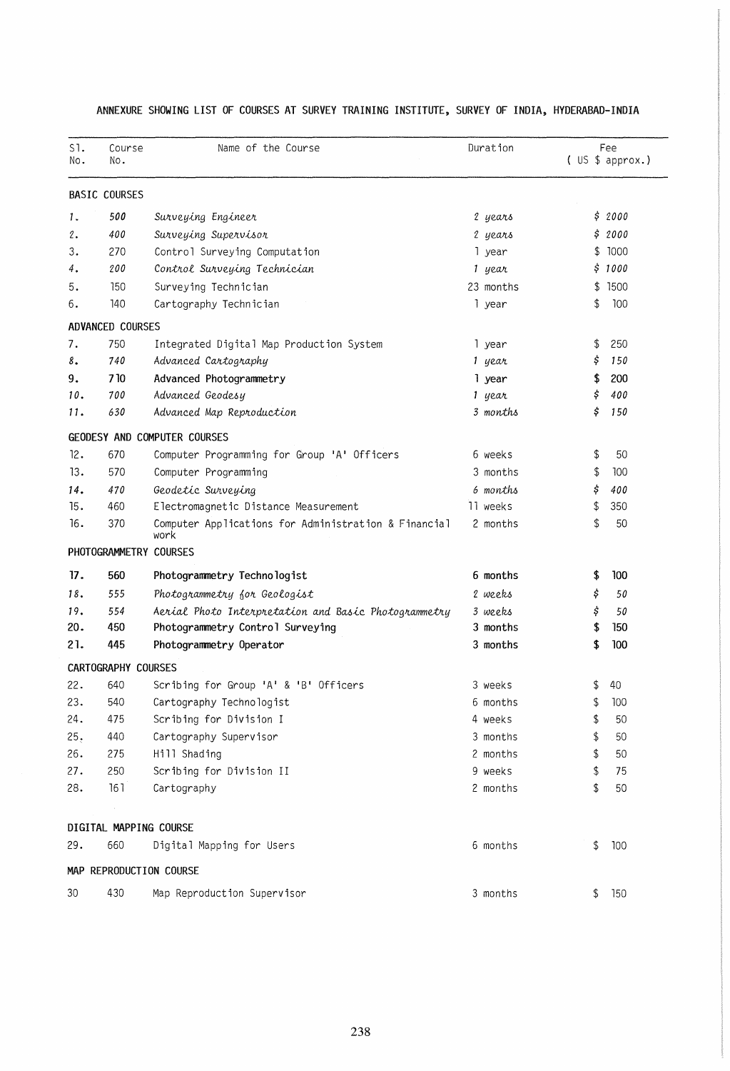| S1.<br>No. | Course<br>No.              | Name of the Course                                           | Duration  | Fee<br>(US \$ approach.) |
|------------|----------------------------|--------------------------------------------------------------|-----------|--------------------------|
|            | <b>BASIC COURSES</b>       |                                                              |           |                          |
| 1.         | 500                        | Surveying Engineer                                           | 2 years   | \$2000                   |
| 2.         | 400                        | Surveying Supervisor                                         | 2 years   | 2000<br>\$               |
| 3.         | 270                        | Control Surveying Computation                                | 1 year    | 1000<br>\$               |
| 4.         | 200                        | Control Surveying Technician                                 | 1 year    | \$1000                   |
| 5.         | 150                        | Surveying Technician                                         | 23 months | 1500<br>\$               |
| 6.         | 140                        | Cartography Technician                                       | l year    | 100<br>\$                |
|            | ADVANCED COURSES           |                                                              |           |                          |
| 7.         | 750                        | Integrated Digital Map Production System                     | 1 year    | \$<br>250                |
| 8.         | 740                        | Advanced Cartography                                         | 1 year    | 150<br>Ş                 |
| 9.         | 710                        | Advanced Photogrammetry                                      | l year    | 200<br>\$                |
| 10.        | 700                        | Advanced Geodesy                                             | 1 year    | \$<br>400                |
| 11.        | 630                        | Advanced Map Reproduction                                    | 3 months  | \$<br>150                |
|            |                            | GEODESY AND COMPUTER COURSES                                 |           |                          |
| 12.        | 670                        | Computer Programming for Group 'A' Officers                  | 6 weeks   | 50<br>\$                 |
| 13.        | 570                        | Computer Programming                                         | 3 months  | \$<br>100                |
| 14.        | 470                        | Geodetic Surveying                                           | 6 months  | \$<br>400                |
| 15.        | 460                        | Electromagnetic Distance Measurement                         | 11 weeks  | 350<br>\$                |
| 16.        | 370                        | Computer Applications for Administration & Financial<br>work | 2 months  | \$<br>50                 |
|            | PHOTOGRAMMETRY COURSES     |                                                              |           |                          |
| 17.        | 560                        | Photogrammetry Technologist                                  | 6 months  | 100<br>\$                |
| 18.        | 555                        | Photogrammetry for Geologist                                 | 2 weeks   | \$<br>50                 |
| 19.        | 554                        | Aerial Photo Interpretation and Basic Photogrammetry         | 3 weeks   | \$<br>50                 |
| 20.        | 450                        | Photogrammetry Control Surveying                             | 3 months  | \$<br>150                |
| 21.        | 445                        | Photogrammetry Operator                                      | 3 months  | 100<br>\$                |
|            | <b>CARTOGRAPHY COURSES</b> |                                                              |           |                          |
| 22.        | 640                        | Scribing for Group 'A' & 'B' Officers                        | 3 weeks   | 40<br>\$                 |
| 23.        | 540                        | Cartography Technologist                                     | 6 months  | 100<br>\$                |
| 24.        | 475                        | Scribing for Division I                                      | 4 weeks   | \$<br>50                 |
| 25.        | 440                        | Cartography Supervisor                                       | 3 months  | \$<br>50                 |
| 26.        | 275                        | Hill Shading                                                 | 2 months  | \$<br>50                 |
| 27.        | 250                        | Scribing for Division II                                     | 9 weeks   | \$<br>75                 |
| 28.        | 161                        | Cartography                                                  | 2 months  | \$<br>50                 |
|            | DIGITAL MAPPING COURSE     |                                                              |           |                          |
| 29.        | 660                        | Digital Mapping for Users                                    | 6 months  | \$<br>100                |
|            |                            | MAP REPRODUCTION COURSE                                      |           |                          |
| 30         | 430                        | Map Reproduction Supervisor                                  | 3 months  | \$<br>150                |

# ANNEXURE SHOWING LIST OF COURSES AT SURVEY TRAINING INSTITUTE, SURVEY OF INDIA, HYDERABAD-INDIA